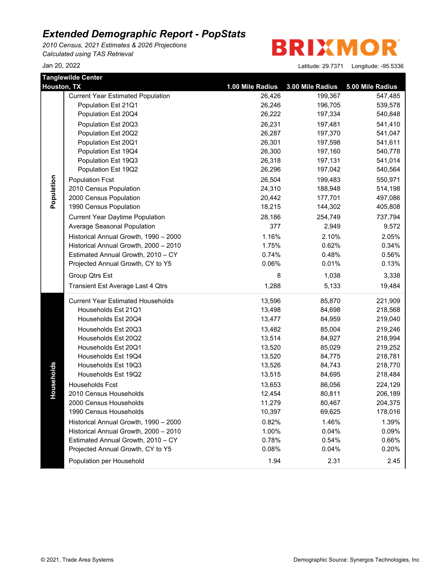*2010 Census, 2021 Estimates & 2026 Projections Calculated using TAS Retrieval*

**BRIXMOR** 

| Houston, TX | <b>Tanglewilde Center</b>                | 1.00 Mile Radius | 3.00 Mile Radius | 5.00 Mile Radius |
|-------------|------------------------------------------|------------------|------------------|------------------|
|             | <b>Current Year Estimated Population</b> | 26,426           | 199,367          | 547,485          |
|             | Population Est 21Q1                      | 26,246           | 196,705          | 539,578          |
|             | Population Est 20Q4                      | 26,222           | 197,334          | 540,848          |
|             | Population Est 20Q3                      | 26,231           | 197,481          | 541,410          |
|             | Population Est 20Q2                      | 26,287           | 197,370          | 541,047          |
|             | Population Est 20Q1                      | 26,301           | 197,598          | 541,611          |
|             | Population Est 19Q4                      | 26,300           | 197,160          | 540,778          |
|             | Population Est 19Q3                      | 26,318           | 197,131          | 541,014          |
|             | Population Est 19Q2                      | 26,296           | 197,042          | 540,564          |
|             | <b>Population Fcst</b>                   | 26,504           | 199,483          | 550,971          |
| Population  | 2010 Census Population                   | 24,310           | 188,948          | 514,198          |
|             | 2000 Census Population                   | 20,442           | 177,701          | 497,086          |
|             | 1990 Census Population                   | 18,215           | 144,302          | 405,808          |
|             | <b>Current Year Daytime Population</b>   | 28,186           | 254,749          | 737,794          |
|             | Average Seasonal Population              | 377              | 2,949            | 9,572            |
|             | Historical Annual Growth, 1990 - 2000    | 1.16%            | 2.10%            | 2.05%            |
|             | Historical Annual Growth, 2000 - 2010    | 1.75%            | 0.62%            | 0.34%            |
|             | Estimated Annual Growth, 2010 - CY       | 0.74%            | 0.48%            | 0.56%            |
|             | Projected Annual Growth, CY to Y5        | 0.06%            | 0.01%            | 0.13%            |
|             | Group Qtrs Est                           | 8                | 1,038            | 3,338            |
|             | Transient Est Average Last 4 Qtrs        | 1,288            | 5,133            | 19,484           |
|             | <b>Current Year Estimated Households</b> | 13,596           | 85,870           | 221,909          |
|             | Households Est 21Q1                      | 13,498           | 84,698           | 218,568          |
|             | Households Est 20Q4                      | 13,477           | 84,959           | 219,040          |
|             | Households Est 20Q3                      | 13,482           | 85,004           | 219,246          |
|             | Households Est 20Q2                      | 13,514           | 84,927           | 218,994          |
|             | Households Est 20Q1                      | 13,520           | 85,029           | 219,252          |
|             | Households Est 19Q4                      | 13,520           | 84,775           | 218,781          |
|             | Households Est 19Q3                      | 13,526           | 84,743           | 218,770          |
| Households  | Households Est 19Q2                      | 13,515           | 84,695           | 218,484          |
|             | Households Fcst                          | 13,653           | 86,056           | 224,129          |
|             | 2010 Census Households                   | 12,454           | 80,811           | 206,189          |
|             | 2000 Census Households                   | 11,279           | 80,467           | 204,375          |
|             | 1990 Census Households                   | 10,397           | 69,625           | 178,016          |
|             | Historical Annual Growth, 1990 - 2000    | 0.82%            | 1.46%            | 1.39%            |
|             | Historical Annual Growth, 2000 - 2010    | 1.00%            | 0.04%            | 0.09%            |
|             | Estimated Annual Growth, 2010 - CY       | 0.78%            | 0.54%            | 0.66%            |
|             | Projected Annual Growth, CY to Y5        | 0.08%            | 0.04%            | 0.20%            |
|             | Population per Household                 | 1.94             | 2.31             | 2.45             |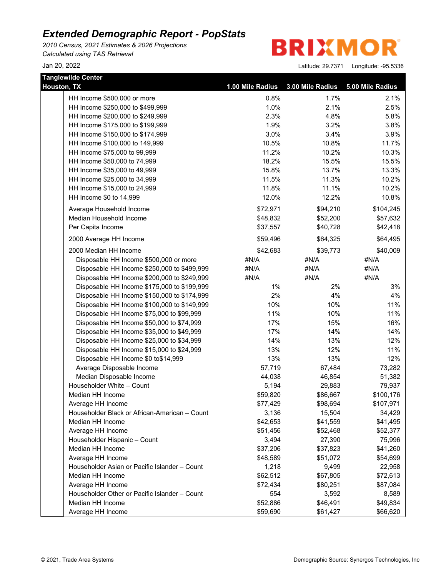*2010 Census, 2021 Estimates & 2026 Projections Calculated using TAS Retrieval*

**Tanglewilde Center**

**BRIXMOR** 

| Houston, TX                                                        | 1.00 Mile Radius  | 3.00 Mile Radius   | 5.00 Mile Radius   |
|--------------------------------------------------------------------|-------------------|--------------------|--------------------|
| HH Income \$500,000 or more                                        | 0.8%              | 1.7%               | 2.1%               |
| HH Income \$250,000 to \$499,999                                   | 1.0%              | 2.1%               | 2.5%               |
| HH Income \$200,000 to \$249,999                                   | 2.3%              | 4.8%               | 5.8%               |
| HH Income \$175,000 to \$199,999                                   | 1.9%              | 3.2%               | 3.8%               |
| HH Income \$150,000 to \$174,999                                   | 3.0%              | 3.4%               | 3.9%               |
| HH Income \$100,000 to 149,999                                     | 10.5%             | 10.8%              | 11.7%              |
| HH Income \$75,000 to 99,999                                       | 11.2%             | 10.2%              | 10.3%              |
| HH Income \$50,000 to 74,999                                       | 18.2%             | 15.5%              | 15.5%              |
| HH Income \$35,000 to 49,999                                       | 15.8%             | 13.7%              | 13.3%              |
| HH Income \$25,000 to 34,999                                       | 11.5%             | 11.3%              | 10.2%              |
| HH Income \$15,000 to 24,999                                       | 11.8%             | 11.1%              | 10.2%              |
| HH Income \$0 to 14,999                                            | 12.0%             | 12.2%              | 10.8%              |
| Average Household Income                                           | \$72,971          | \$94,210           | \$104,245          |
| Median Household Income                                            | \$48,832          | \$52,200           | \$57,632           |
| Per Capita Income                                                  | \$37,557          | \$40,728           | \$42,418           |
| 2000 Average HH Income                                             | \$59,496          | \$64,325           | \$64,495           |
| 2000 Median HH Income                                              | \$42,683          | \$39,773           | \$40,009           |
| Disposable HH Income \$500,000 or more                             | #N/A              | #N/A               | #N/A               |
| Disposable HH Income \$250,000 to \$499,999                        | #N/A              | #N/A               | #N/A               |
| Disposable HH Income \$200,000 to \$249,999                        | #N/A              | #N/A               | #N/A               |
| Disposable HH Income \$175,000 to \$199,999                        | $1\%$             | 2%                 | 3%                 |
| Disposable HH Income \$150,000 to \$174,999                        | 2%                | 4%                 | 4%                 |
| Disposable HH Income \$100,000 to \$149,999                        | 10%               | 10%                | 11%                |
| Disposable HH Income \$75,000 to \$99,999                          | 11%               | 10%                | 11%                |
| Disposable HH Income \$50,000 to \$74,999                          | 17%               | 15%                | 16%                |
| Disposable HH Income \$35,000 to \$49,999                          | 17%               | 14%                | 14%                |
| Disposable HH Income \$25,000 to \$34,999                          | 14%               | 13%                | 12%                |
| Disposable HH Income \$15,000 to \$24,999                          | 13%               | 12%                | 11%                |
| Disposable HH Income \$0 to\$14,999                                | 13%               | 13%                | 12%                |
| Average Disposable Income                                          | 57,719            | 67,484             | 73,282             |
| Median Disposable Income                                           | 44,038            | 46,854             | 51,382             |
| Householder White - Count                                          | 5,194             | 29,883             | 79,937             |
| Median HH Income                                                   | \$59,820          | \$86,667           | \$100,176          |
| Average HH Income<br>Householder Black or African-American - Count | \$77,429          | \$98,694           | \$107,971          |
| Median HH Income                                                   | 3,136<br>\$42,653 | 15,504<br>\$41,559 | 34,429<br>\$41,495 |
| Average HH Income                                                  | \$51,456          | \$52,468           | \$52,377           |
| Householder Hispanic - Count                                       | 3,494             | 27,390             | 75,996             |
| Median HH Income                                                   | \$37,206          | \$37,823           | \$41,260           |
| Average HH Income                                                  | \$48,589          | \$51,072           | \$54,699           |
| Householder Asian or Pacific Islander - Count                      | 1,218             | 9,499              | 22,958             |
| Median HH Income                                                   | \$62,512          | \$67,805           | \$72,613           |
| Average HH Income                                                  | \$72,434          | \$80,251           | \$87,084           |
| Householder Other or Pacific Islander - Count                      | 554               | 3,592              | 8,589              |
| Median HH Income                                                   | \$52,886          | \$46,491           | \$49,834           |
| Average HH Income                                                  | \$59,690          | \$61,427           | \$66,620           |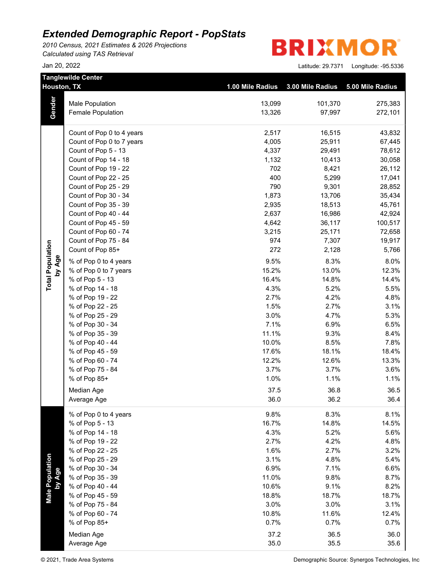*2010 Census, 2021 Estimates & 2026 Projections Calculated using TAS Retrieval*



|                           | <b>Tanglewilde Center</b> |                  |                  |                  |
|---------------------------|---------------------------|------------------|------------------|------------------|
|                           | Houston, TX               | 1.00 Mile Radius | 3.00 Mile Radius | 5.00 Mile Radius |
|                           | <b>Male Population</b>    | 13,099           | 101,370          | 275,383          |
| Gender                    | Female Population         | 13,326           | 97,997           | 272,101          |
|                           | Count of Pop 0 to 4 years | 2,517            | 16,515           | 43,832           |
|                           | Count of Pop 0 to 7 years | 4,005            | 25,911           | 67,445           |
|                           | Count of Pop 5 - 13       | 4,337            | 29,491           | 78,612           |
|                           | Count of Pop 14 - 18      | 1,132            | 10,413           | 30,058           |
|                           | Count of Pop 19 - 22      | 702              | 8,421            | 26,112           |
|                           | Count of Pop 22 - 25      | 400              | 5,299            | 17,041           |
|                           | Count of Pop 25 - 29      | 790              | 9,301            | 28,852           |
|                           | Count of Pop 30 - 34      | 1,873            | 13,706           | 35,434           |
|                           | Count of Pop 35 - 39      | 2,935            | 18,513           | 45,761           |
|                           | Count of Pop 40 - 44      | 2,637            | 16,986           | 42,924           |
|                           | Count of Pop 45 - 59      | 4,642            | 36,117           | 100,517          |
|                           | Count of Pop 60 - 74      | 3,215            | 25,171           | 72,658           |
|                           | Count of Pop 75 - 84      | 974              | 7,307            | 19,917           |
|                           | Count of Pop 85+          | 272              | 2,128            | 5,766            |
| by Age                    | % of Pop 0 to 4 years     | 9.5%             | 8.3%             | 8.0%             |
| <b>Total Population</b>   | % of Pop 0 to 7 years     | 15.2%            | 13.0%            | 12.3%            |
|                           | % of Pop 5 - 13           | 16.4%            | 14.8%            | 14.4%            |
|                           | % of Pop 14 - 18          | 4.3%             | 5.2%             | 5.5%             |
|                           | % of Pop 19 - 22          | 2.7%             | 4.2%             | 4.8%             |
|                           | % of Pop 22 - 25          | 1.5%             | 2.7%             | 3.1%             |
|                           | % of Pop 25 - 29          | 3.0%             | 4.7%             | 5.3%             |
|                           | % of Pop 30 - 34          | 7.1%             | 6.9%             | 6.5%             |
|                           | % of Pop 35 - 39          | 11.1%            | 9.3%             | 8.4%             |
|                           | % of Pop 40 - 44          | 10.0%            | 8.5%             | 7.8%             |
|                           | % of Pop 45 - 59          | 17.6%            | 18.1%            | 18.4%            |
|                           | % of Pop 60 - 74          | 12.2%            | 12.6%            | 13.3%            |
|                           | % of Pop 75 - 84          | 3.7%             | 3.7%             | 3.6%             |
|                           | % of Pop 85+              | 1.0%             | 1.1%             | 1.1%             |
|                           | Median Age                | 37.5             | 36.8             | 36.5             |
|                           | Average Age               | 36.0             | 36.2             | 36.4             |
|                           | % of Pop 0 to 4 years     | 9.8%             | 8.3%             | 8.1%             |
|                           | % of Pop 5 - 13           | 16.7%            | 14.8%            | 14.5%            |
|                           | % of Pop 14 - 18          | 4.3%             | 5.2%             | 5.6%             |
|                           | % of Pop 19 - 22          | 2.7%             | 4.2%             | 4.8%             |
|                           | % of Pop 22 - 25          | 1.6%             | 2.7%             | 3.2%             |
| Male Population<br>by Age | % of Pop 25 - 29          | 3.1%             | 4.8%             | 5.4%             |
|                           | % of Pop 30 - 34          | 6.9%             | 7.1%             | 6.6%             |
|                           | % of Pop 35 - 39          | 11.0%            | 9.8%             | 8.7%             |
|                           | % of Pop 40 - 44          | 10.6%            | 9.1%             | 8.2%             |
|                           | % of Pop 45 - 59          | 18.8%            | 18.7%            | 18.7%            |
|                           | % of Pop 75 - 84          | 3.0%             | 3.0%             | 3.1%             |
|                           | % of Pop 60 - 74          | 10.8%            | 11.6%            | 12.4%            |
|                           | % of Pop 85+              | 0.7%             | 0.7%             | 0.7%             |
|                           | Median Age                | 37.2             | 36.5             | 36.0             |
|                           | Average Age               | 35.0             | 35.5             | 35.6             |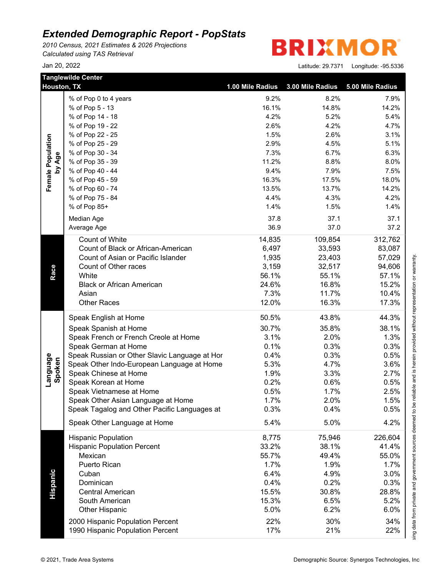*2010 Census, 2021 Estimates & 2026 Projections Calculated using TAS Retrieval*

|                    | <b>Tanglewilde Center</b><br>Houston, TX                             | 1.00 Mile Radius | 3.00 Mile Radius | 5.00 Mile Radius |
|--------------------|----------------------------------------------------------------------|------------------|------------------|------------------|
|                    | % of Pop 0 to 4 years                                                | 9.2%             | 8.2%             | 7.9%             |
|                    | % of Pop 5 - 13                                                      | 16.1%            | 14.8%            | 14.2%            |
|                    | % of Pop 14 - 18                                                     | 4.2%             | 5.2%             | 5.4%             |
|                    | % of Pop 19 - 22                                                     | 2.6%             | 4.2%             | 4.7%             |
|                    | % of Pop 22 - 25                                                     | 1.5%             | 2.6%             | 3.1%             |
|                    |                                                                      | 2.9%             | 4.5%             | 5.1%             |
|                    | % of Pop 25 - 29                                                     |                  |                  |                  |
| by Age             | % of Pop 30 - 34                                                     | 7.3%             | 6.7%             | 6.3%             |
|                    | % of Pop 35 - 39                                                     | 11.2%            | 8.8%             | 8.0%             |
| Female Population  | % of Pop 40 - 44                                                     | 9.4%             | 7.9%             | 7.5%             |
|                    | % of Pop 45 - 59                                                     | 16.3%            | 17.5%            | 18.0%            |
|                    | % of Pop 60 - 74                                                     | 13.5%            | 13.7%            | 14.2%            |
|                    | % of Pop 75 - 84                                                     | 4.4%             | 4.3%             | 4.2%             |
|                    | % of Pop 85+                                                         | 1.4%             | 1.5%             | 1.4%             |
|                    | Median Age                                                           | 37.8             | 37.1             | 37.1             |
|                    | Average Age                                                          | 36.9             | 37.0             | 37.2             |
|                    |                                                                      |                  |                  |                  |
|                    | Count of White                                                       | 14,835           | 109,854          | 312,762          |
|                    | Count of Black or African-American                                   | 6,497            | 33,593           | 83,087           |
|                    | Count of Asian or Pacific Islander                                   | 1,935            | 23,403           | 57,029           |
| Race               | Count of Other races                                                 | 3,159            | 32,517           | 94,606           |
|                    | White                                                                | 56.1%            | 55.1%            | 57.1%            |
|                    | <b>Black or African American</b>                                     | 24.6%            | 16.8%            | 15.2%            |
|                    | Asian                                                                | 7.3%             | 11.7%            | 10.4%            |
|                    | <b>Other Races</b>                                                   | 12.0%            | 16.3%            | 17.3%            |
|                    | Speak English at Home                                                | 50.5%            | 43.8%            | 44.3%            |
|                    | Speak Spanish at Home                                                | 30.7%            | 35.8%            | 38.1%            |
|                    | Speak French or French Creole at Home                                | 3.1%             | 2.0%             | 1.3%             |
|                    | Speak German at Home                                                 | 0.1%             | 0.3%             | 0.3%             |
|                    | Speak Russian or Other Slavic Language at Hor                        | 0.4%             | 0.3%             | 0.5%             |
|                    | Speak Other Indo-European Language at Home                           | 5.3%             | 4.7%             | 3.6%             |
|                    | Speak Chinese at Home                                                | 1.9%             | 3.3%             | 2.7%             |
| Language<br>Spoken | Speak Korean at Home                                                 | 0.2%             | 0.6%             | 0.5%             |
|                    | Speak Vietnamese at Home                                             | 0.5%             | 1.7%             | 2.5%             |
|                    |                                                                      | 1.7%             | 2.0%             | 1.5%             |
|                    | Speak Other Asian Language at Home                                   |                  |                  |                  |
|                    | Speak Tagalog and Other Pacific Languages at                         | 0.3%             | 0.4%             | 0.5%             |
|                    | Speak Other Language at Home                                         | 5.4%             | 5.0%             | 4.2%             |
|                    | <b>Hispanic Population</b>                                           | 8,775            | 75,946           | 226,604          |
|                    | <b>Hispanic Population Percent</b>                                   | 33.2%            | 38.1%            | 41.4%            |
|                    | Mexican                                                              | 55.7%            | 49.4%            | 55.0%            |
|                    | Puerto Rican                                                         | 1.7%             | 1.9%             | 1.7%             |
|                    | Cuban                                                                | 6.4%             | 4.9%             | 3.0%             |
| <b>Hispanic</b>    | Dominican                                                            | 0.4%             | 0.2%             | 0.3%             |
|                    | <b>Central American</b>                                              | 15.5%            | 30.8%            | 28.8%            |
|                    | South American                                                       | 15.3%            | 6.5%             | 5.2%             |
|                    | <b>Other Hispanic</b>                                                | 5.0%             | 6.2%             | 6.0%             |
|                    |                                                                      |                  |                  |                  |
|                    | 2000 Hispanic Population Percent<br>1990 Hispanic Population Percent | 22%              | 30%              | 34%              |
|                    |                                                                      | 17%              | 21%              | 22%              |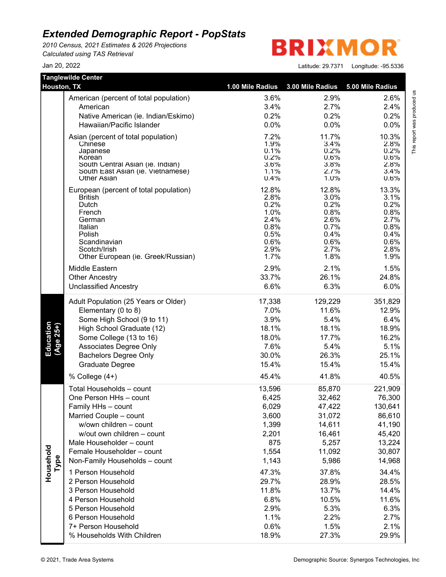*2010 Census, 2021 Estimates & 2026 Projections Calculated using TAS Retrieval*

**BRIXMO** R

| <b>Tanglewilde Center</b> |                                        |                  |                  |                  |
|---------------------------|----------------------------------------|------------------|------------------|------------------|
| <b>Houston, TX</b>        |                                        | 1.00 Mile Radius | 3.00 Mile Radius | 5.00 Mile Radius |
|                           | American (percent of total population) | 3.6%             | 2.9%             | 2.6%             |
|                           | American                               | 3.4%             | 2.7%             | 2.4%             |
|                           | Native American (ie. Indian/Eskimo)    | 0.2%             | 0.2%             | 0.2%             |
|                           | Hawaiian/Pacific Islander              | 0.0%             | 0.0%             | 0.0%             |
|                           | Asian (percent of total population)    | 7.2%             | 11.7%            | 10.3%            |
|                           | Chinese                                | 1.9%             | 3.4%             | 2.8%             |
|                           | Japanese<br>Korean                     | 0.1%<br>0.2%     | 0.2%<br>0.6%     | 0.2%<br>0.6%     |
|                           | South Central Asian (ie. Indian)       | 3.6%             | 3.8%             | 2.8%             |
|                           | South East Asian (ie. Vietnamese)      | 1.1%             | 2.7%             | 3.4%             |
|                           | <b>Other Asian</b>                     | 0.4%             | 1.0%             | 0.6%             |
|                           | European (percent of total population) | 12.8%            | 12.8%            | 13.3%            |
|                           | <b>British</b>                         | 2.8%             | 3.0%             | 3.1%             |
|                           | Dutch<br>French                        | 0.2%<br>1.0%     | 0.2%             | 0.2%             |
|                           | German                                 | 2.4%             | 0.8%<br>2.6%     | 0.8%<br>2.7%     |
|                           | Italian                                | 0.8%             | 0.7%             | 0.8%             |
|                           | Polish                                 | 0.5%             | 0.4%             | 0.4%             |
|                           | Scandinavian                           | 0.6%             | 0.6%             | 0.6%             |
|                           | Scotch/Irish                           | 2.9%             | 2.7%             | 2.8%             |
|                           | Other European (ie. Greek/Russian)     | 1.7%             | 1.8%             | 1.9%             |
|                           | Middle Eastern                         | 2.9%             | 2.1%             | 1.5%             |
|                           | <b>Other Ancestry</b>                  | 33.7%            | 26.1%            | 24.8%            |
|                           | <b>Unclassified Ancestry</b>           | 6.6%             | 6.3%             | 6.0%             |
|                           | Adult Population (25 Years or Older)   | 17,338           | 129,229          | 351,829          |
|                           | Elementary (0 to 8)                    | 7.0%             | 11.6%            | 12.9%            |
|                           | Some High School (9 to 11)             | 3.9%             | 5.4%             | 6.4%             |
|                           | High School Graduate (12)              | 18.1%            | 18.1%            | 18.9%            |
| Education<br>(Age 25+)    | Some College (13 to 16)                | 18.0%            | 17.7%            | 16.2%            |
|                           | Associates Degree Only                 | 7.6%             | 5.4%             | 5.1%             |
|                           | <b>Bachelors Degree Only</b>           | 30.0%            | 26.3%            | 25.1%            |
|                           | Graduate Degree                        | 15.4%            | 15.4%            | 15.4%            |
|                           | % College (4+)                         | 45.4%            | 41.8%            | 40.5%            |
|                           | Total Households - count               | 13,596           | 85,870           | 221,909          |
|                           | One Person HHs - count                 | 6,425            | 32,462           | 76,300           |
|                           | Family HHs - count                     | 6,029            | 47,422           | 130,641          |
|                           | Married Couple - count                 | 3,600            | 31,072           | 86,610           |
|                           | w/own children - count                 | 1,399            | 14,611           | 41,190           |
|                           | w/out own children - count             | 2,201            | 16,461           | 45,420           |
|                           | Male Householder - count               | 875              | 5,257            | 13,224           |
|                           | Female Householder - count             | 1,554            | 11,092           | 30,807           |
| Household<br>Type         | Non-Family Households - count          | 1,143            | 5,986            | 14,968           |
|                           | 1 Person Household                     | 47.3%            | 37.8%            | 34.4%            |
|                           | 2 Person Household                     | 29.7%            | 28.9%            | 28.5%            |
|                           | 3 Person Household                     | 11.8%            | 13.7%            | 14.4%            |
|                           | 4 Person Household                     | 6.8%             | 10.5%            | 11.6%            |
|                           | 5 Person Household                     | 2.9%             | 5.3%             | 6.3%             |
|                           | 6 Person Household                     | 1.1%             | 2.2%             | 2.7%             |
|                           | 7+ Person Household                    | 0.6%             | 1.5%             | 2.1%             |
|                           | % Households With Children             | 18.9%            | 27.3%            | 29.9%            |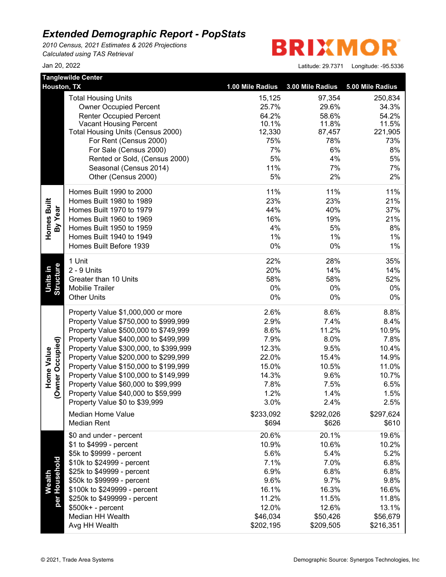*2010 Census, 2021 Estimates & 2026 Projections Calculated using TAS Retrieval*

**BRIXMO** R

| <b>Tanglewilde Center</b>      |                                        |                  |                  |                  |
|--------------------------------|----------------------------------------|------------------|------------------|------------------|
| Houston, TX                    |                                        | 1.00 Mile Radius | 3.00 Mile Radius | 5.00 Mile Radius |
|                                | <b>Total Housing Units</b>             | 15,125           | 97,354           | 250,834          |
|                                | <b>Owner Occupied Percent</b>          | 25.7%            | 29.6%            | 34.3%            |
|                                | <b>Renter Occupied Percent</b>         | 64.2%            | 58.6%            | 54.2%            |
|                                | <b>Vacant Housing Percent</b>          | 10.1%            | 11.8%            | 11.5%            |
|                                | Total Housing Units (Census 2000)      | 12,330           | 87,457           | 221,905          |
|                                | For Rent (Census 2000)                 | 75%              | 78%              | 73%              |
|                                | For Sale (Census 2000)                 | 7%               | 6%               | 8%               |
|                                | Rented or Sold, (Census 2000)          | 5%               | 4%               | 5%               |
|                                | Seasonal (Census 2014)                 | 11%              | 7%               | 7%               |
|                                | Other (Census 2000)                    | 5%               | 2%               | 2%               |
|                                | Homes Built 1990 to 2000               | 11%              | 11%              | 11%              |
| Homes Built                    | Homes Built 1980 to 1989               | 23%              | 23%              | 21%              |
|                                | Homes Built 1970 to 1979               | 44%              | 40%              | 37%              |
| By Year                        | Homes Built 1960 to 1969               | 16%              | 19%              | 21%              |
|                                | Homes Built 1950 to 1959               | 4%               | 5%               | 8%               |
|                                | Homes Built 1940 to 1949               | 1%               | 1%               | 1%               |
|                                | Homes Built Before 1939                | 0%               | 0%               | 1%               |
|                                | 1 Unit                                 | 22%              | 28%              | 35%              |
|                                | 2 - 9 Units                            | 20%              | 14%              | 14%              |
| Units in                       | Greater than 10 Units                  | 58%              | 58%              | 52%              |
| Structure                      | Mobilie Trailer                        | 0%               | 0%               | 0%               |
|                                | <b>Other Units</b>                     | $0\%$            | 0%               | 0%               |
|                                | Property Value \$1,000,000 or more     | 2.6%             | 8.6%             | 8.8%             |
|                                | Property Value \$750,000 to \$999,999  | 2.9%             | 7.4%             | 8.4%             |
|                                | Property Value \$500,000 to \$749,999  | 8.6%             | 11.2%            | 10.9%            |
|                                | Property Value \$400,000 to \$499,999  | 7.9%             | 8.0%             | 7.8%             |
|                                | Property Value \$300,000, to \$399,999 | 12.3%            | 9.5%             | 10.4%            |
| (Owner Occupied)<br>Home Value | Property Value \$200,000 to \$299,999  | 22.0%            | 15.4%            | 14.9%            |
|                                | Property Value \$150,000 to \$199,999  | 15.0%            | 10.5%            | 11.0%            |
|                                | Property Value \$100,000 to \$149,999  | 14.3%            | 9.6%             | 10.7%            |
|                                | Property Value \$60,000 to \$99,999    | 7.8%             | 7.5%             | 6.5%             |
|                                | Property Value \$40,000 to \$59,999    | 1.2%             | 1.4%             | 1.5%             |
|                                | Property Value \$0 to \$39,999         | 3.0%             | 2.4%             | 2.5%             |
|                                | <b>Median Home Value</b>               | \$233,092        | \$292,026        | \$297,624        |
|                                | <b>Median Rent</b>                     | \$694            | \$626            | \$610            |
|                                | \$0 and under - percent                | 20.6%            | 20.1%            | 19.6%            |
|                                | \$1 to \$4999 - percent                | 10.9%            | 10.6%            | 10.2%            |
|                                | \$5k to \$9999 - percent               | 5.6%             | 5.4%             | 5.2%             |
|                                | \$10k to \$24999 - percent             | 7.1%             | 7.0%             | 6.8%             |
| per Household                  | \$25k to \$49999 - percent             | 6.9%             | 6.8%             | 6.8%             |
| Wealth                         | \$50k to \$99999 - percent             | 9.6%             | 9.7%             | 9.8%             |
|                                | \$100k to \$249999 - percent           | 16.1%            | 16.3%            | 16.6%            |
|                                | \$250k to \$499999 - percent           | 11.2%            | 11.5%            | 11.8%            |
|                                | \$500k+ - percent                      | 12.0%            | 12.6%            | 13.1%            |
|                                | Median HH Wealth                       | \$46,034         | \$50,426         | \$56,679         |
|                                | Avg HH Wealth                          | \$202,195        | \$209,505        | \$216,351        |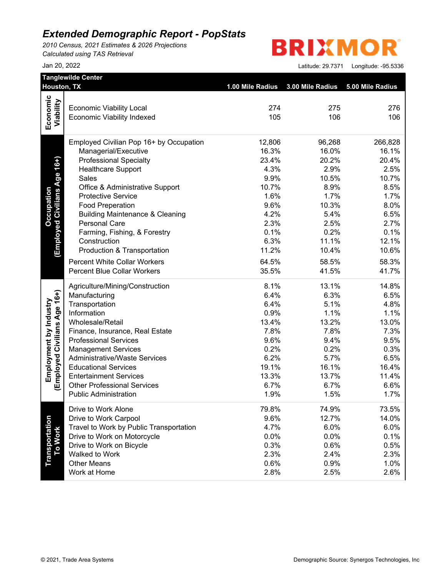*2010 Census, 2021 Estimates & 2026 Projections Calculated using TAS Retrieval*

# **BRIXMOR**

|                              | Houston, TX                                                         | 1.00 Mile Radius | 3.00 Mile Radius | 5.00 Mile Radius |
|------------------------------|---------------------------------------------------------------------|------------------|------------------|------------------|
| Economic                     | <b>Economic Viability Local</b>                                     | 274              | 275              | 276              |
| Viability                    | <b>Economic Viability Indexed</b>                                   | 105              | 106              | 106              |
|                              | Employed Civilian Pop 16+ by Occupation                             | 12,806           | 96,268           | 266,828          |
|                              | Managerial/Executive                                                | 16.3%            | 16.0%            | 16.1%            |
|                              | <b>Professional Specialty</b>                                       | 23.4%            | 20.2%            | 20.4%            |
| Age 16+)                     | <b>Healthcare Support</b>                                           | 4.3%             | 2.9%             | 2.5%             |
|                              | Sales                                                               | 9.9%             | 10.5%            | 10.7%            |
|                              | Office & Administrative Support                                     | 10.7%            | 8.9%             | 8.5%             |
| <b>Employed Civilians</b>    | <b>Protective Service</b>                                           | 1.6%             | 1.7%             | 1.7%             |
|                              | <b>Food Preperation</b>                                             | 9.6%             | 10.3%            | 8.0%             |
|                              | <b>Building Maintenance &amp; Cleaning</b>                          | 4.2%             | 5.4%             | 6.5%             |
|                              | <b>Personal Care</b>                                                | 2.3%             | 2.5%             | 2.7%             |
|                              | Farming, Fishing, & Forestry                                        | 0.1%             | 0.2%             | 0.1%             |
|                              | Construction                                                        | 6.3%             | 11.1%            | 12.1%            |
|                              | Production & Transportation                                         | 11.2%            | 10.4%            | 10.6%            |
|                              | <b>Percent White Collar Workers</b>                                 | 64.5%            | 58.5%            | 58.3%            |
|                              | <b>Percent Blue Collar Workers</b>                                  | 35.5%            | 41.5%            | 41.7%            |
|                              | Agriculture/Mining/Construction                                     | 8.1%             | 13.1%            | 14.8%            |
|                              | Manufacturing                                                       | 6.4%             | 6.3%             | 6.5%             |
|                              | Transportation                                                      | 6.4%             | 5.1%             | 4.8%             |
|                              | Information                                                         | 0.9%             | 1.1%             | 1.1%             |
|                              | Wholesale/Retail                                                    | 13.4%            | 13.2%            | 13.0%            |
|                              | Finance, Insurance, Real Estate                                     | 7.8%             | 7.8%             | 7.3%             |
| (Employed Civilians Age 16+) | <b>Professional Services</b>                                        | 9.6%             | 9.4%             | 9.5%             |
|                              | <b>Management Services</b>                                          | 0.2%             | 0.2%             | 0.3%             |
|                              | <b>Administrative/Waste Services</b>                                | 6.2%             | 5.7%             | 6.5%             |
|                              | <b>Educational Services</b>                                         | 19.1%            | 16.1%            | 16.4%            |
|                              | <b>Entertainment Services</b><br><b>Other Professional Services</b> | 13.3%<br>6.7%    | 13.7%<br>6.7%    | 11.4%<br>6.6%    |
|                              | <b>Public Administration</b>                                        | 1.9%             | 1.5%             | 1.7%             |
|                              | Drive to Work Alone                                                 | 79.8%            | 74.9%            | 73.5%            |
|                              | Drive to Work Carpool                                               | 9.6%             | 12.7%            | 14.0%            |
|                              | Travel to Work by Public Transportation                             | 4.7%             | 6.0%             | 6.0%             |
|                              | Drive to Work on Motorcycle                                         | 0.0%             | 0.0%             | 0.1%             |
|                              | Drive to Work on Bicycle                                            | 0.3%             | 0.6%             | 0.5%             |
|                              | Walked to Work                                                      | 2.3%             | 2.4%             | 2.3%             |
| Transportation<br>To Work    | <b>Other Means</b>                                                  | 0.6%             | 0.9%             | 1.0%             |
|                              | Work at Home                                                        | 2.8%             | 2.5%             | 2.6%             |